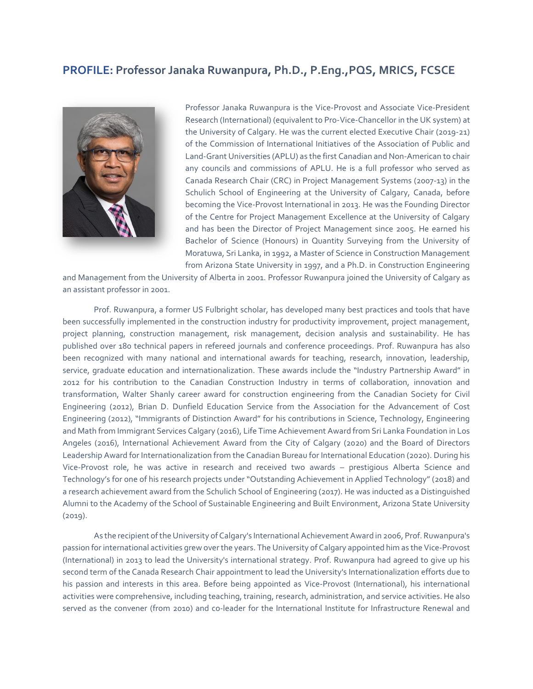## **PROFILE: Professor Janaka Ruwanpura, Ph.D., P.Eng.,PQS, MRICS, FCSCE**



Professor Janaka Ruwanpura is the Vice-Provost and Associate Vice-President Research (International) (equivalent to Pro-Vice-Chancellor in the UK system) at the University of Calgary. He was the current elected Executive Chair (2019-21) of the Commission of International Initiatives of the Association of Public and Land-Grant Universities (APLU) as the first Canadian and Non-American to chair any councils and commissions of APLU. He is a full professor who served as Canada Research Chair (CRC) in Project Management Systems (2007-13) in the Schulich School of Engineering at the University of Calgary, Canada, before becoming the Vice-Provost International in 2013. He was the Founding Director of the Centre for Project Management Excellence at the University of Calgary and has been the Director of Project Management since 2005. He earned his Bachelor of Science (Honours) in Quantity Surveying from the University of Moratuwa, Sri Lanka, in 1992, a Master of Science in Construction Management from Arizona State University in 1997, and a Ph.D. in Construction Engineering

and Management from the University of Alberta in 2001. Professor Ruwanpura joined the University of Calgary as an assistant professor in 2001.

Prof. Ruwanpura, a former US Fulbright scholar, has developed many best practices and tools that have been successfully implemented in the construction industry for productivity improvement, project management, project planning, construction management, risk management, decision analysis and sustainability. He has published over 180 technical papers in refereed journals and conference proceedings. Prof. Ruwanpura has also been recognized with many national and international awards for teaching, research, innovation, leadership, service, graduate education and internationalization. These awards include the "Industry Partnership Award" in 2012 for his contribution to the Canadian Construction Industry in terms of collaboration, innovation and transformation, Walter Shanly career award for construction engineering from the Canadian Society for Civil Engineering (2012), Brian D. Dunfield Education Service from the Association for the Advancement of Cost Engineering (2012), "Immigrants of Distinction Award" for his contributions in Science, Technology, Engineering and Math from Immigrant Services Calgary (2016), Life Time Achievement Award from Sri Lanka Foundation in Los Angeles (2016), International Achievement Award from the City of Calgary (2020) and the Board of Directors Leadership Award for Internationalization from the Canadian Bureau for International Education (2020). During his Vice-Provost role, he was active in research and received two awards – prestigious Alberta Science and Technology's for one of his research projects under "Outstanding Achievement in Applied Technology" (2018) and a research achievement award from the Schulich School of Engineering (2017). He was inducted as a Distinguished Alumni to the Academy of the School of Sustainable Engineering and Built Environment, Arizona State University (2019).

As the recipient of the University of Calgary's International Achievement Award in 2006, Prof. Ruwanpura's passion for international activities grew over the years. The University of Calgary appointed him as the Vice-Provost (International) in 2013 to lead the University's international strategy. Prof. Ruwanpura had agreed to give up his second term of the Canada Research Chair appointment to lead the University's Internationalization efforts due to his passion and interests in this area. Before being appointed as Vice-Provost (International), his international activities were comprehensive, including teaching, training, research, administration, and service activities. He also served as the convener (from 2010) and co-leader for the International Institute for Infrastructure Renewal and